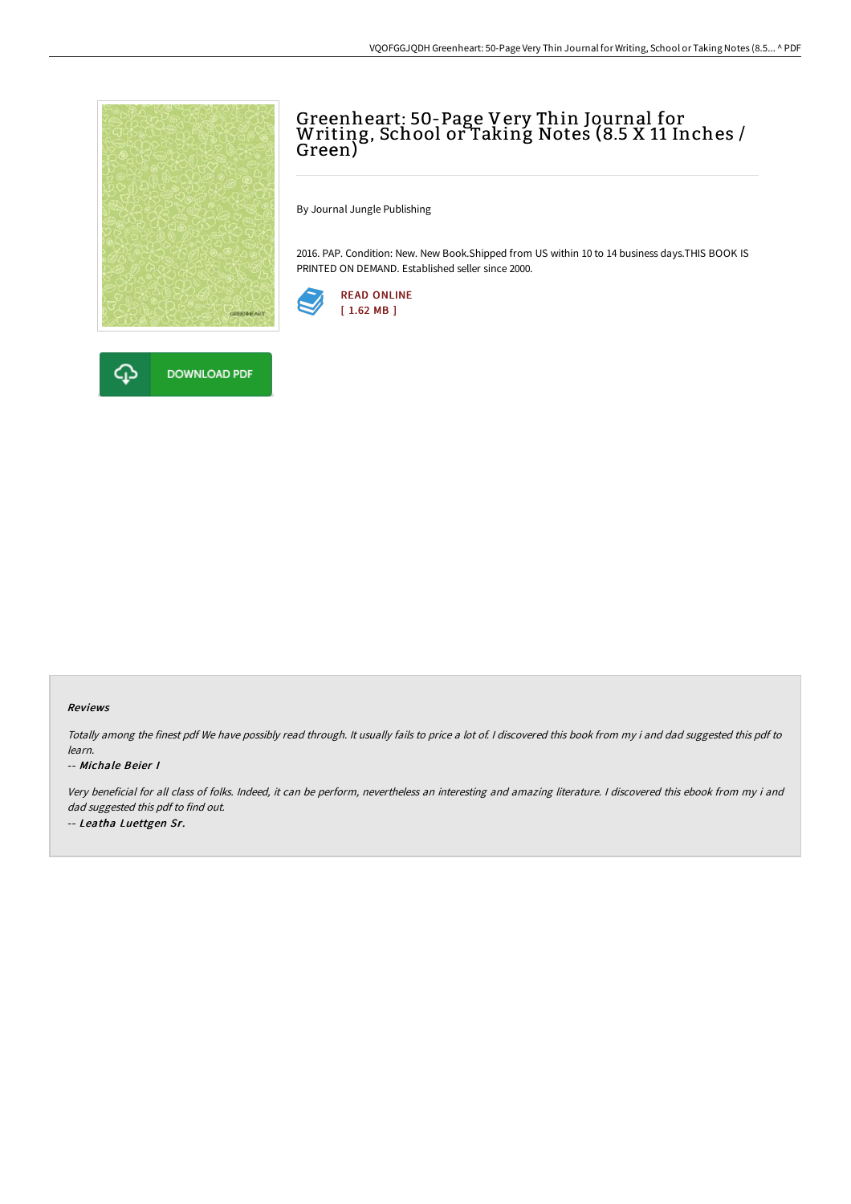

## Greenheart: 50-Page Very Thin Journal for Writing, School or Taking Notes (8.5 X 11 Inches / Green)

By Journal Jungle Publishing

2016. PAP. Condition: New. New Book.Shipped from US within 10 to 14 business days.THIS BOOK IS PRINTED ON DEMAND. Established seller since 2000.





## Reviews

Totally among the finest pdf We have possibly read through. It usually fails to price <sup>a</sup> lot of. <sup>I</sup> discovered this book from my i and dad suggested this pdf to learn.

## -- Michale Beier I

Very beneficial for all class of folks. Indeed, it can be perform, nevertheless an interesting and amazing literature. <sup>I</sup> discovered this ebook from my i and dad suggested this pdf to find out. -- Leatha Luettgen Sr.